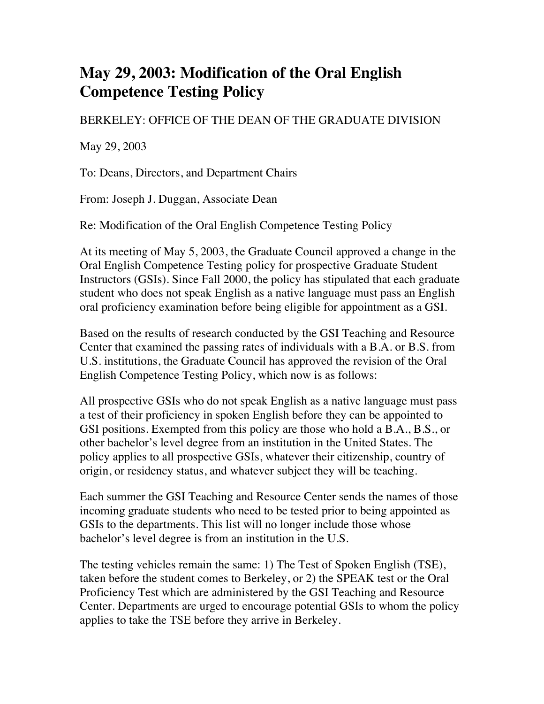## **May 29, 2003: Modification of the Oral English Competence Testing Policy**

## BERKELEY: OFFICE OF THE DEAN OF THE GRADUATE DIVISION

May 29, 2003

To: Deans, Directors, and Department Chairs

From: Joseph J. Duggan, Associate Dean

Re: Modification of the Oral English Competence Testing Policy

At its meeting of May 5, 2003, the Graduate Council approved a change in the Oral English Competence Testing policy for prospective Graduate Student Instructors (GSIs). Since Fall 2000, the policy has stipulated that each graduate student who does not speak English as a native language must pass an English oral proficiency examination before being eligible for appointment as a GSI.

Based on the results of research conducted by the GSI Teaching and Resource Center that examined the passing rates of individuals with a B.A. or B.S. from U.S. institutions, the Graduate Council has approved the revision of the Oral English Competence Testing Policy, which now is as follows:

All prospective GSIs who do not speak English as a native language must pass a test of their proficiency in spoken English before they can be appointed to GSI positions. Exempted from this policy are those who hold a B.A., B.S., or other bachelor's level degree from an institution in the United States. The policy applies to all prospective GSIs, whatever their citizenship, country of origin, or residency status, and whatever subject they will be teaching.

Each summer the GSI Teaching and Resource Center sends the names of those incoming graduate students who need to be tested prior to being appointed as GSIs to the departments. This list will no longer include those whose bachelor's level degree is from an institution in the U.S.

The testing vehicles remain the same: 1) The Test of Spoken English (TSE), taken before the student comes to Berkeley, or 2) the SPEAK test or the Oral Proficiency Test which are administered by the GSI Teaching and Resource Center. Departments are urged to encourage potential GSIs to whom the policy applies to take the TSE before they arrive in Berkeley.